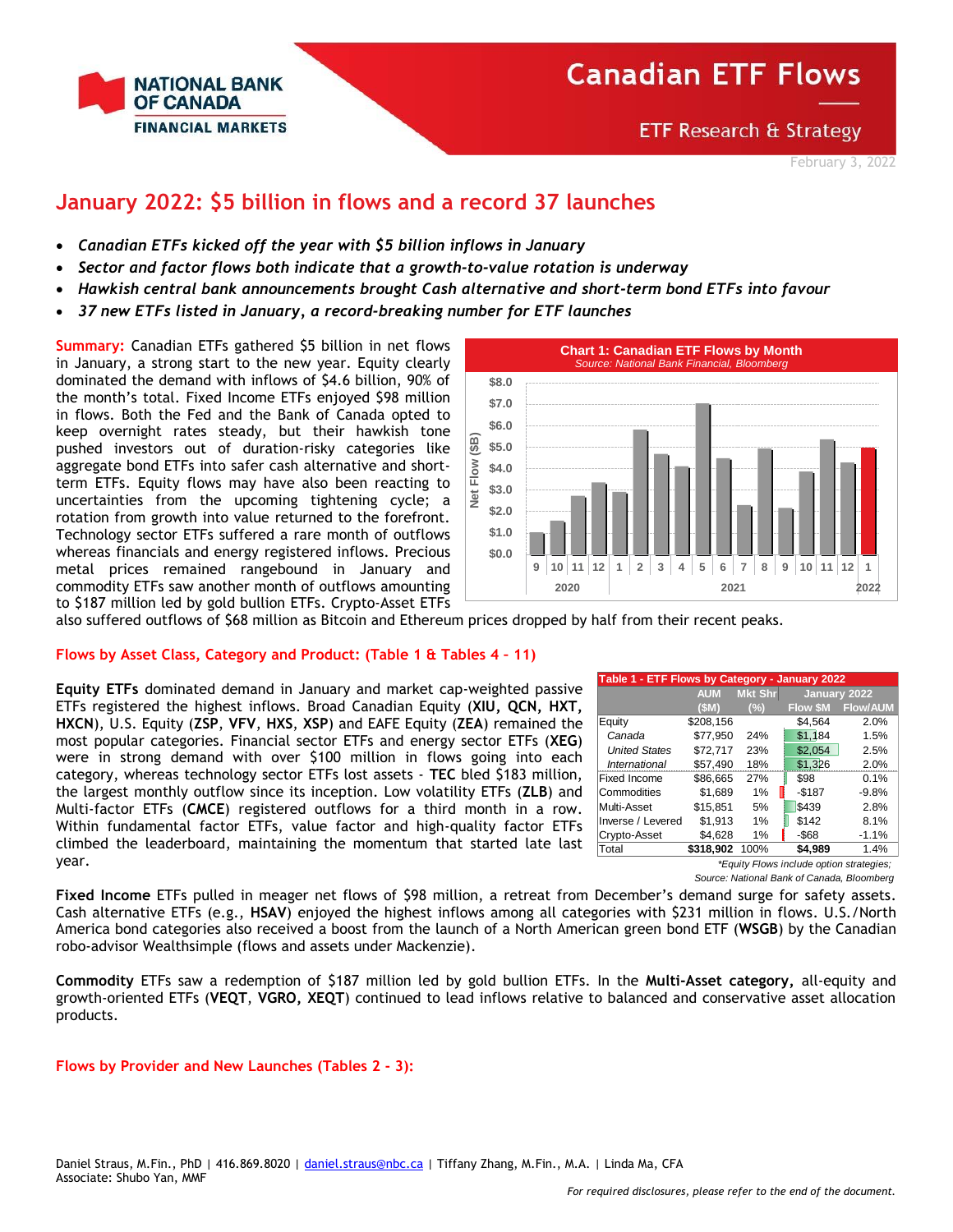

**ETF Research & Strategy** 

February 3, 2022

## **January 2022: \$5 billion in flows and a record 37 launches**

- *Canadian ETFs kicked off the year with \$5 billion inflows in January*
- *Sector and factor flows both indicate that a growth-to-value rotation is underway*
- *Hawkish central bank announcements brought Cash alternative and short-term bond ETFs into favour*
- *37 new ETFs listed in January, a record-breaking number for ETF launches*

**Summary:** Canadian ETFs gathered \$5 billion in net flows in January, a strong start to the new year. Equity clearly dominated the demand with inflows of \$4.6 billion, 90% of the month's total. Fixed Income ETFs enjoyed \$98 million in flows. Both the Fed and the Bank of Canada opted to keep overnight rates steady, but their hawkish tone pushed investors out of duration-risky categories like aggregate bond ETFs into safer cash alternative and shortterm ETFs. Equity flows may have also been reacting to uncertainties from the upcoming tightening cycle; a rotation from growth into value returned to the forefront. Technology sector ETFs suffered a rare month of outflows whereas financials and energy registered inflows. Precious metal prices remained rangebound in January and commodity ETFs saw another month of outflows amounting to \$187 million led by gold bullion ETFs. Crypto-Asset ETFs



also suffered outflows of \$68 million as Bitcoin and Ethereum prices dropped by half from their recent peaks.

#### **Flows by Asset Class, Category and Product: (Table 1 & Tables 4 – 11)**

**Equity ETFs** dominated demand in January and market cap-weighted passive ETFs registered the highest inflows. Broad Canadian Equity (**XIU, QCN, HXT, HXCN**), U.S. Equity (**ZSP**, **VFV**, **HXS**, **XSP**) and EAFE Equity (**ZEA**) remained the most popular categories. Financial sector ETFs and energy sector ETFs (**XEG**) were in strong demand with over \$100 million in flows going into each category, whereas technology sector ETFs lost assets - **TEC** bled \$183 million, the largest monthly outflow since its inception. Low volatility ETFs (**ZLB**) and Multi-factor ETFs (**CMCE**) registered outflows for a third month in a row. Within fundamental factor ETFs, value factor and high-quality factor ETFs climbed the leaderboard, maintaining the momentum that started late last year.

|                      | Table 1 - ETF Flows by Category - January 2022 |                |          |                 |  |  |  |  |  |  |  |
|----------------------|------------------------------------------------|----------------|----------|-----------------|--|--|--|--|--|--|--|
|                      | <b>AUM</b>                                     | <b>Mkt Shr</b> |          | January 2022    |  |  |  |  |  |  |  |
|                      | (SM)                                           | (%)            | Flow \$M | <b>Flow/AUM</b> |  |  |  |  |  |  |  |
| Equity               | \$208,156                                      |                | \$4,564  | 2.0%            |  |  |  |  |  |  |  |
| Canada               | \$77,950                                       | 24%            | \$1,184  | 1.5%            |  |  |  |  |  |  |  |
| <b>United States</b> | \$72.717                                       | 23%            | \$2,054  | 2.5%            |  |  |  |  |  |  |  |
| International        | \$57,490                                       | 18%            | \$1,326  | 2.0%            |  |  |  |  |  |  |  |
| Fixed Income         | \$86,665                                       | 27%            | \$98     | 0.1%            |  |  |  |  |  |  |  |
| Commodities          | \$1,689                                        | 1%             | $-$187$  | $-9.8%$         |  |  |  |  |  |  |  |
| Multi-Asset          | \$15,851                                       | 5%             | \$439    | 2.8%            |  |  |  |  |  |  |  |
| Inverse / Levered    | \$1,913                                        | 1%             | \$142    | 8.1%            |  |  |  |  |  |  |  |
| Crypto-Asset         | \$4,628                                        | 1%             | $-$ \$68 | $-1.1%$         |  |  |  |  |  |  |  |
| Total                | \$318.902                                      | 100%           | \$4.989  | 1.4%            |  |  |  |  |  |  |  |

*\*Equity Flows include option strategies; Source: National Bank of Canada, Bloomberg*

**Fixed Income** ETFs pulled in meager net flows of \$98 million, a retreat from December's demand surge for safety assets. Cash alternative ETFs (e.g., **HSAV**) enjoyed the highest inflows among all categories with \$231 million in flows. U.S./North America bond categories also received a boost from the launch of a North American green bond ETF (**WSGB**) by the Canadian robo-advisor Wealthsimple (flows and assets under Mackenzie).

**Commodity** ETFs saw a redemption of \$187 million led by gold bullion ETFs. In the **Multi-Asset category,** all-equity and growth-oriented ETFs (**VEQT**, **VGRO, XEQT**) continued to lead inflows relative to balanced and conservative asset allocation products.

#### **Flows by Provider and New Launches (Tables 2 - 3):**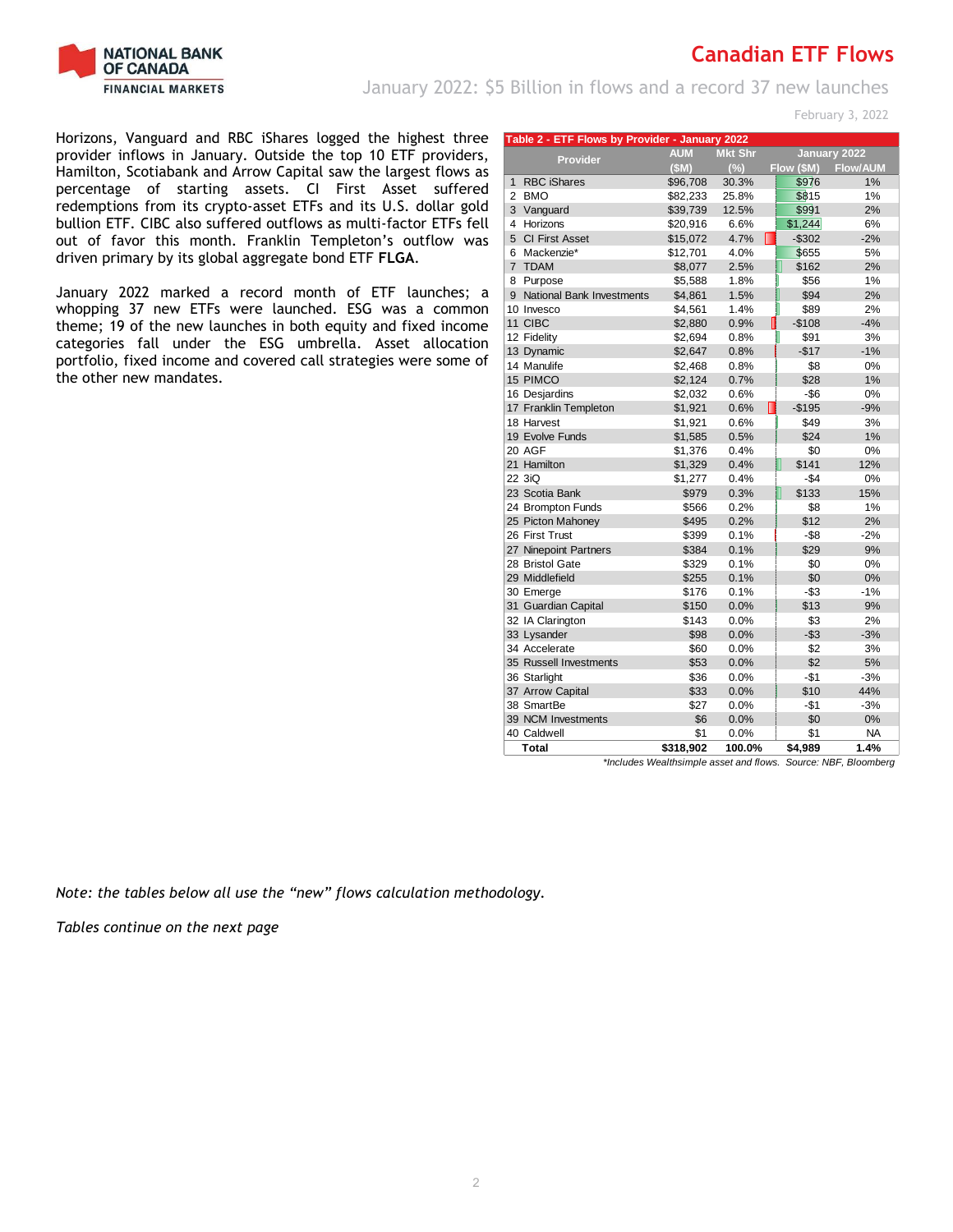

January 2022: \$5 Billion in flows and a record 37 new launches

February 3, 2022

Horizons, Vanguard and RBC iShares logged the highest three provider inflows in January. Outside the top 10 ETF providers, Hamilton, Scotiabank and Arrow Capital saw the largest flows as percentage of starting assets. CI First Asset suffered redemptions from its crypto-asset ETFs and its U.S. dollar gold bullion ETF. CIBC also suffered outflows as multi-factor ETFs fell out of favor this month. Franklin Templeton's outflow was driven primary by its global aggregate bond ETF **FLGA**.

January 2022 marked a record month of ETF launches; a whopping 37 new ETFs were launched. ESG was a common theme; 19 of the new launches in both equity and fixed income categories fall under the ESG umbrella. Asset allocation portfolio, fixed income and covered call strategies were some of the other new mandates.

|                | Table 2 - ETF Flows by Provider - January 2022 |            |                |              |                                                                |  |  |  |  |  |  |
|----------------|------------------------------------------------|------------|----------------|--------------|----------------------------------------------------------------|--|--|--|--|--|--|
|                | <b>Provider</b>                                | <b>AUM</b> | <b>Mkt Shr</b> |              | January 2022                                                   |  |  |  |  |  |  |
|                |                                                | (SM)       | (%)            | Flow (\$M)   | <b>Flow/AUM</b>                                                |  |  |  |  |  |  |
| $\mathbf{1}$   | <b>RBC iShares</b>                             | \$96,708   | 30.3%          | \$976        | 1%                                                             |  |  |  |  |  |  |
| 2              | <b>BMO</b>                                     | \$82,233   | 25.8%          | \$815        | 1%                                                             |  |  |  |  |  |  |
| 3              | Vanguard                                       | \$39,739   | 12.5%          | \$991        | 2%                                                             |  |  |  |  |  |  |
| 4              | Horizons                                       | \$20,916   | 6.6%           | \$1,244      | 6%                                                             |  |  |  |  |  |  |
|                | 5 CI First Asset                               | \$15,072   | 4.7%           | $-$302$      | $-2%$                                                          |  |  |  |  |  |  |
| 6              | Mackenzie*                                     | \$12,701   | 4.0%           | \$655        | 5%                                                             |  |  |  |  |  |  |
| $\overline{7}$ | <b>TDAM</b>                                    | \$8,077    | 2.5%           | \$162        | 2%                                                             |  |  |  |  |  |  |
| 8              | Purpose                                        | \$5,588    | 1.8%           | \$56         | 1%                                                             |  |  |  |  |  |  |
| 9              | <b>National Bank Investments</b>               | \$4,861    | 1.5%           | \$94         | 2%                                                             |  |  |  |  |  |  |
|                | 10 Invesco                                     | \$4,561    | 1.4%           | \$89         | 2%                                                             |  |  |  |  |  |  |
|                | 11 CIBC                                        | \$2,880    | 0.9%           | $-$108$      | $-4%$                                                          |  |  |  |  |  |  |
|                | 12 Fidelity                                    | \$2,694    | 0.8%           | \$91         | 3%                                                             |  |  |  |  |  |  |
|                | 13 Dynamic                                     | \$2,647    | 0.8%           | $-$17$       | $-1%$                                                          |  |  |  |  |  |  |
|                | 14 Manulife                                    | \$2,468    | 0.8%           | \$8          | 0%                                                             |  |  |  |  |  |  |
|                | 15 PIMCO                                       | \$2,124    | 0.7%           | \$28         | 1%                                                             |  |  |  |  |  |  |
|                | 16 Desjardins                                  | \$2,032    | 0.6%           | $-$ \$6      | 0%                                                             |  |  |  |  |  |  |
|                | 17 Franklin Templeton                          | \$1,921    | 0.6%           | $-$195$<br>Н | $-9%$                                                          |  |  |  |  |  |  |
|                | 18 Harvest                                     | \$1,921    | 0.6%           | \$49         | 3%                                                             |  |  |  |  |  |  |
|                | 19 Evolve Funds                                | \$1,585    | 0.5%           | \$24         | 1%                                                             |  |  |  |  |  |  |
|                | 20 AGF                                         | \$1,376    | 0.4%           | \$0          | 0%                                                             |  |  |  |  |  |  |
|                | 21 Hamilton                                    | \$1,329    | 0.4%           | \$141        | 12%                                                            |  |  |  |  |  |  |
|                | 22 3iQ                                         | \$1,277    | 0.4%           | $-\$4$       | 0%                                                             |  |  |  |  |  |  |
|                | 23 Scotia Bank                                 | \$979      | 0.3%           | \$133        | 15%                                                            |  |  |  |  |  |  |
|                | 24 Brompton Funds                              | \$566      | 0.2%           | \$8          | 1%                                                             |  |  |  |  |  |  |
|                | 25 Picton Mahoney                              | \$495      | 0.2%           | \$12         | 2%                                                             |  |  |  |  |  |  |
|                | 26 First Trust                                 | \$399      | 0.1%           | $-$ \$8      | $-2%$                                                          |  |  |  |  |  |  |
|                | 27 Ninepoint Partners                          | \$384      | 0.1%           | \$29         | 9%                                                             |  |  |  |  |  |  |
|                | 28 Bristol Gate                                | \$329      | 0.1%           | \$0          | 0%                                                             |  |  |  |  |  |  |
|                | 29 Middlefield                                 | \$255      | 0.1%           | \$0          | 0%                                                             |  |  |  |  |  |  |
|                | 30 Emerge                                      | \$176      | 0.1%           | $-$ \$3      | $-1%$                                                          |  |  |  |  |  |  |
|                | 31 Guardian Capital                            | \$150      | 0.0%           | \$13         | 9%                                                             |  |  |  |  |  |  |
|                | 32 IA Clarington                               | \$143      | 0.0%           | \$3          | 2%                                                             |  |  |  |  |  |  |
|                | 33 Lysander                                    | \$98       | 0.0%           | $-$ \$3      | $-3%$                                                          |  |  |  |  |  |  |
|                | 34 Accelerate                                  | \$60       | 0.0%           | \$2          | 3%                                                             |  |  |  |  |  |  |
|                | 35 Russell Investments                         | \$53       | 0.0%           | \$2          | 5%                                                             |  |  |  |  |  |  |
|                | 36 Starlight                                   | \$36       | 0.0%           | $-$1$        | $-3%$                                                          |  |  |  |  |  |  |
|                | 37 Arrow Capital                               | \$33       | 0.0%           | \$10         | 44%                                                            |  |  |  |  |  |  |
|                | 38 SmartBe                                     | \$27       | 0.0%           | -\$1         | $-3%$                                                          |  |  |  |  |  |  |
|                | 39 NCM Investments                             | \$6        | 0.0%           | \$0          | 0%                                                             |  |  |  |  |  |  |
|                | 40 Caldwell                                    | \$1        | 0.0%           | \$1          | <b>NA</b>                                                      |  |  |  |  |  |  |
|                | <b>Total</b>                                   | \$318,902  | 100.0%         | \$4,989      | 1.4%                                                           |  |  |  |  |  |  |
|                |                                                |            |                |              | *Includes Wealthsimple asset and flows. Source: NBF, Bloomberg |  |  |  |  |  |  |

*Note: the tables below all use the "new" flows calculation methodology.*

*Tables continue on the next page*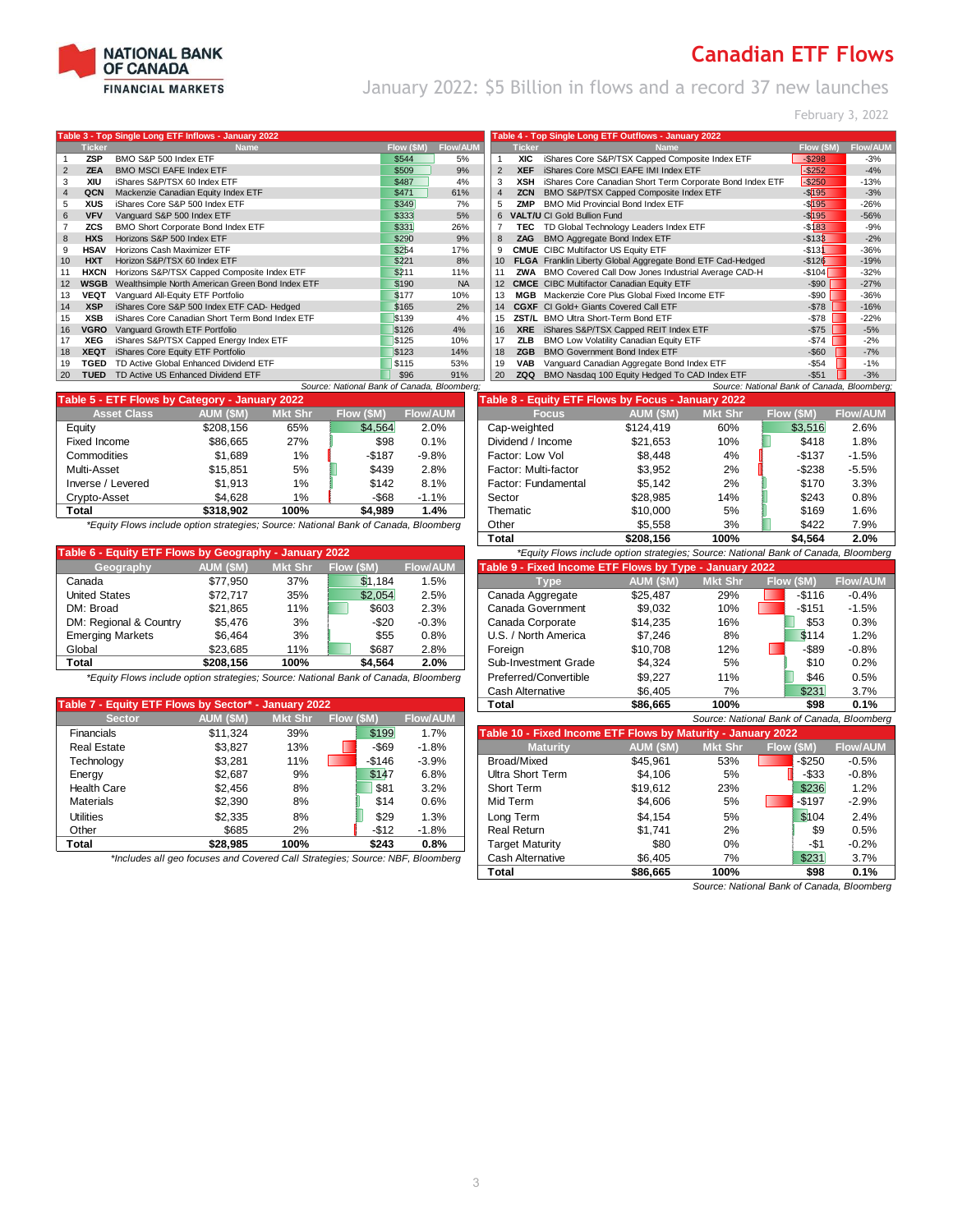

January 2022: \$5 Billion in flows and a record 37 new launches

February 3, 2022

|    |               | Table 3 - Top Single Long ETF Inflows - January 2022 |            |                 |                   |               | Table 4 - Top Single Long ETF Outflows - January 2022      |            |                 |
|----|---------------|------------------------------------------------------|------------|-----------------|-------------------|---------------|------------------------------------------------------------|------------|-----------------|
|    | <b>Ticker</b> | <b>Name</b>                                          | Flow (\$M) | <b>Flow/AUM</b> |                   | <b>Ticker</b> | <b>Name</b>                                                | Flow (\$M) | <b>Flow/AUN</b> |
|    | <b>ZSP</b>    | BMO S&P 500 Index ETF                                | \$544      | 5%              |                   | <b>XIC</b>    | iShares Core S&P/TSX Capped Composite Index ETF            | $-$298$    | $-3%$           |
|    | <b>ZEA</b>    | <b>BMO MSCI EAFE Index ETF</b>                       | \$509      | 9%              | $\overline{2}$    | <b>XEF</b>    | iShares Core MSCI EAFE IMI Index ETF                       | $-$ \$252  | $-4%$           |
|    | XIU           | iShares S&P/TSX 60 Index ETF                         | \$487      | 4%              | 3                 | XSH           | iShares Core Canadian Short Term Corporate Bond Index ETF  | $-$ \$250  | $-13%$          |
|    | QCN           | Mackenzie Canadian Equity Index ETF                  | \$471      | 61%             | $\overline{4}$    | <b>ZCN</b>    | BMO S&P/TSX Capped Composite Index ETF                     | $-$ \$195  | $-3%$           |
| 5  | <b>XUS</b>    | iShares Core S&P 500 Index ETF                       | \$349      | 7%              | 5                 | 7MP           | <b>BMO Mid Provincial Bond Index ETF</b>                   | $-$ \$195  | $-26%$          |
| 6  | <b>VFV</b>    | Vanguard S&P 500 Index ETF                           | \$333      | 5%              | 6                 |               | <b>VALT/U CI Gold Bullion Fund</b>                         | $-$ \$195  | $-56%$          |
|    | <b>ZCS</b>    | BMO Short Corporate Bond Index ETF                   | \$331      | 26%             |                   | TEC           | TD Global Technology Leaders Index ETF                     | $-$ \$183  | $-9%$           |
| 8  | <b>HXS</b>    | Horizons S&P 500 Index ETF                           | \$290      | 9%              | 8                 | ZAG           | BMO Aggregate Bond Index ETF                               | $-$ \$133  | $-2%$           |
| 9  | <b>HSAV</b>   | Horizons Cash Maximizer ETF                          | \$254      | 17%             | 9                 |               | <b>CMUE</b> CIBC Multifactor US Equity ETF                 | $-$ \$131  | $-36%$          |
| 10 | <b>HXT</b>    | Horizon S&P/TSX 60 Index ETF                         | \$221      | 8%              |                   |               | FLGA Franklin Liberty Global Aggregate Bond ETF Cad-Hedged | $-$126$    | $-19%$          |
| 11 | <b>HXCN</b>   | Horizons S&P/TSX Capped Composite Index ETF          | \$211      | 11%             |                   |               | ZWA BMO Covered Call Dow Jones Industrial Average CAD-H    | $-$104$    | $-32%$          |
| 12 | WSGB          | Wealthsimple North American Green Bond Index ETF     | \$190      | <b>NA</b>       | $12 \overline{ }$ |               | <b>CMCE</b> CIBC Multifactor Canadian Equity ETF           | $-$ \$90   | $-27%$          |
| 13 | VEQT          | Vanguard All-Equity ETF Portfolio                    | \$177      | 10%             |                   | <b>MGR</b>    | Mackenzie Core Plus Global Fixed Income ETF                | -\$90      | $-36%$          |
| 14 | <b>XSP</b>    | iShares Core S&P 500 Index ETF CAD- Hedged           | \$165      | 2%              | 14                |               | <b>CGXF</b> CI Gold+ Giants Covered Call ETF               | $-$ \$78   | $-16%$          |
| 15 | <b>XSB</b>    | iShares Core Canadian Short Term Bond Index ETF      | \$139      | 4%              | 15                |               | ZST/L BMO Ultra Short-Term Bond ETF                        | $-$ \$78   | $-22%$          |
| 16 | VGRO          | Vanguard Growth ETF Portfolio                        | \$126      | 4%              | 16                | <b>XRE</b>    | iShares S&P/TSX Capped REIT Index ETF                      | $-$75$     | $-5%$           |
| 17 | <b>XEG</b>    | iShares S&P/TSX Capped Energy Index ETF              | \$125      | 10%             | 17                | <b>ZLB</b>    | BMO Low Volatility Canadian Equity ETF                     | $-$ \$74   | $-2%$           |
| 18 | <b>XEQT</b>   | iShares Core Equity ETF Portfolio                    | \$123      | 14%             | 18                | ZGB           | <b>BMO Government Bond Index ETF</b>                       | $-$ \$60   | $-7%$           |
| 19 | TGED          | TD Active Global Enhanced Dividend ETF               | \$115      | 53%             | 19                | <b>VAB</b>    | Vanguard Canadian Aggregate Bond Index ETF                 | $-$ \$54   | $-1%$           |
| 20 | <b>TUED</b>   | TD Active US Enhanced Dividend ETF                   | \$96       | 91%             | 20                | ZQQ           | BMO Nasdaq 100 Equity Hedged To CAD Index ETF              | $-$51$     | $-3%$           |
|    |               | Source: National Bank of Canada, Bloomberg;          |            |                 |                   |               | Source: National Bank of Canada, Bloomberg;                |            |                 |

| Table 5 - ETF Flows by Category - January 2022 |           |                |            |                 | Table 8 - Equity ETF Flows by Focus - January 2022 |           |                |           |                 |  |
|------------------------------------------------|-----------|----------------|------------|-----------------|----------------------------------------------------|-----------|----------------|-----------|-----------------|--|
| <b>Asset Class</b>                             | AUM (\$M) | <b>Mkt Shr</b> | Flow (\$M) | <b>Flow/AUM</b> | <b>Focus</b>                                       | AUM (\$M) | <b>Mkt Shr</b> | Flow (SM) | <b>Flow/AUI</b> |  |
| Equity                                         | \$208.156 | 65%            | \$4,564    | 2.0%            | Cap-weighted                                       | \$124.419 | 60%            | \$3.516   | 2.6%            |  |
| Fixed Income                                   | \$86,665  | 27%            | \$98       | 0.1%            | Dividend / Income                                  | \$21.653  | 10%            | \$418     | 1.8%            |  |
| Commodities                                    | \$1.689   | $1\%$          | $-$187$    | $-9.8%$         | Factor: Low Vol                                    | \$8.448   | 4%             | $-$137$   | $-1.5%$         |  |
| Multi-Asset                                    | \$15.851  | 5%             | \$439      | 2.8%            | Factor: Multi-factor                               | \$3.952   | 2%             | $-$ \$238 | $-5.5%$         |  |
| Inverse / Levered                              | \$1.913   | $1\%$          | \$142      | 8.1%            | Factor: Fundamental                                | \$5.142   | 2%             | \$170     | 3.3%            |  |
| Crypto-Asset                                   | \$4.628   | $1\%$          | $-$ \$68   | $-1.1%$         | Sector                                             | \$28,985  | 14%            | \$243     | 0.8%            |  |
| Total                                          | \$318,902 | 100%           | \$4,989    | 1.4%            | Thematic                                           | \$10,000  | 5%             | \$169     | 1.6%            |  |

| AUM (\$M) | <b>Mkt Shr</b> | Flow (\$M) | <b>Flow/AUM</b>                                        | Table 9 - Fixed Income ETF Flows by Type - January 2022 |           |                |           |                                                                                     |  |  |  |
|-----------|----------------|------------|--------------------------------------------------------|---------------------------------------------------------|-----------|----------------|-----------|-------------------------------------------------------------------------------------|--|--|--|
| \$77.950  | 37%            | \$1.184    | 1.5%                                                   | <b>Type</b>                                             | AUM (\$M) | <b>Mkt Shr</b> | Flow (SM) | <b>Flow/AUM</b>                                                                     |  |  |  |
| \$72.717  | 35%            | \$2.054    | 2.5%                                                   | Canada Aggregate                                        | \$25.487  | 29%            | $-$116$   | $-0.4%$                                                                             |  |  |  |
| \$21.865  | 11%            | \$603      | 2.3%                                                   | Canada Government                                       | \$9,032   | 10%            | $-$151$   | $-1.5%$                                                                             |  |  |  |
| \$5.476   | 3%             | -\$20      | $-0.3%$                                                | Canada Corporate                                        | \$14,235  | 16%            | \$53      | 0.3%                                                                                |  |  |  |
| \$6.464   | 3%             | \$55       | 0.8%                                                   | U.S. / North America                                    | \$7.246   | 8%             | \$114     | 1.2%                                                                                |  |  |  |
| \$23.685  | 11%            | \$687      | 2.8%                                                   | Foreian                                                 | \$10.708  | 12%            | $-$ \$89  | $-0.8%$                                                                             |  |  |  |
| \$208.156 | 100%           | \$4.564    | 2.0%                                                   | Sub-Investment Grade                                    | \$4.324   | 5%             | \$10      | 0.2%                                                                                |  |  |  |
|           |                |            | Table 6 - Equity ETF Flows by Geography - January 2022 |                                                         |           |                |           | *Equity Flows include option strategies; Source: National Bank of Canada, Bloomberg |  |  |  |

|                                                      |                  |                |            |                 | <u>ouville sitolitieti võ</u>                                | <b>vu.</b> 100 | $\cdots$       | $- - -$                                  | <b></b>         |
|------------------------------------------------------|------------------|----------------|------------|-----------------|--------------------------------------------------------------|----------------|----------------|------------------------------------------|-----------------|
| Table 7 - Equity ETF Flows by Sector* - January 2022 |                  |                |            |                 | <b>Total</b>                                                 | \$86.665       | 100%           | \$98                                     | 0.1%            |
| <b>Sector</b>                                        | <b>AUM (\$M)</b> | <b>Mkt Shr</b> | Flow (\$M) | <b>Flow/AUM</b> |                                                              |                |                | Source: National Bank of Canada, Bloombe |                 |
| Financials                                           | \$11.324         | 39%            | \$199      | 1.7%            | Table 10 - Fixed Income ETF Flows by Maturity - January 2022 |                |                |                                          |                 |
| <b>Real Estate</b>                                   | \$3.827          | 13%            | -\$69      | $-1.8%$         | <b>Maturity</b>                                              | AUM (\$M)      | <b>Mkt Shr</b> | Flow (\$M)                               | <b>Flow/AUM</b> |
| Technology                                           | \$3.281          | 11%            | $-$146$    | $-3.9%$         | Broad/Mixed                                                  | \$45.961       | 53%            | $-$ \$250                                | $-0.5%$         |
| Energy                                               | \$2.687          | 9%             | \$147      | 6.8%            | Ultra Short Term                                             | \$4.106        | 5%             | -\$33                                    | $-0.8%$         |
| <b>Health Care</b>                                   | \$2.456          | 8%             | \$81       | 3.2%            | Short Term                                                   | \$19.612       | 23%            | \$236                                    | 1.2%            |
| <b>Materials</b>                                     | \$2.390          | 8%             | \$14       | 0.6%            | Mid Term                                                     | \$4.606        | 5%             | $-$197$                                  | $-2.9%$         |
| Utilities                                            | \$2.335          | 8%             | \$29       | 1.3%            | Long Term                                                    | \$4.154        | 5%             | \$104                                    | 2.4%            |
| Other                                                | \$685            | 2%             | $-$12$     | $-1.8%$         | <b>Real Return</b>                                           | \$1.741        | 2%             | \$9                                      | 0.5%            |
| Total                                                | \$28.985         | 100%           | \$243      | 0.8%            | Target Maturity                                              | \$80           | $0\%$          | -\$1                                     | $-0.2%$         |

|                | <b>Ticker</b> | <b>Name</b>                                                | Flow (\$M) | <b>Flow/AUM</b> |
|----------------|---------------|------------------------------------------------------------|------------|-----------------|
|                | <b>XIC</b>    | iShares Core S&P/TSX Capped Composite Index ETF            | $-$ \$298  | $-3%$           |
| $\overline{2}$ | <b>XEF</b>    | iShares Core MSCI EAFE IMI Index ETF                       | $-$ \$252  | $-4%$           |
| 3              | XSH           | iShares Core Canadian Short Term Corporate Bond Index ETF  | $-$ \$250  | $-13%$          |
| $\overline{4}$ | <b>ZCN</b>    | BMO S&P/TSX Capped Composite Index ETF                     | $ $195$    | $-3%$           |
| 5              | ZMP           | BMO Mid Provincial Bond Index ETF                          | $-$ \$195  | $-26%$          |
| 6              |               | <b>VALT/U CI Gold Bullion Fund</b>                         | $-$ \$195  | $-56%$          |
| 7              | TEC           | TD Global Technology Leaders Index ETF                     | $-$ \$183  | $-9%$           |
| 8              | <b>ZAG</b>    | BMO Aggregate Bond Index ETF                               | $-$133$    | $-2%$           |
| 9              |               | <b>CMUE</b> CIBC Multifactor US Equity ETF                 | $-$131$    | $-36%$          |
| 10             |               | FLGA Franklin Liberty Global Aggregate Bond ETF Cad-Hedged | $-$126$    | $-19%$          |
| 11             | ZWA           | BMO Covered Call Dow Jones Industrial Average CAD-H        | $-$104$    | $-32%$          |
| 12             |               | <b>CMCE</b> CIBC Multifactor Canadian Equity ETF           | $-$ \$90   | $-27%$          |
| 13             | <b>MGB</b>    | Mackenzie Core Plus Global Fixed Income ETF                | $-$ \$90   | $-36%$          |
| 14             |               | CGXF CI Gold+ Giants Covered Call ETF                      | $-$78$     | $-16%$          |
| 15             | ZST/L         | BMO Ultra Short-Term Bond ETF                              | $-$78$     | $-22%$          |
| 16             | <b>XRE</b>    | iShares S&P/TSX Capped REIT Index ETF                      | $-$75$     | $-5%$           |
| 17             | ZLB           | BMO Low Volatility Canadian Equity ETF                     | $-$74$     | $-2%$           |
| 18             | <b>ZGB</b>    | <b>BMO Government Bond Index ETF</b>                       | $-$60$     | $-7%$           |
| 19             | <b>VAB</b>    | Vanguard Canadian Aggregate Bond Index ETF                 | $-$54$     | $-1%$           |
| 20             | ZQQ           | BMO Nasdaq 100 Equity Hedged To CAD Index ETF              | $-$51$     | $-3%$           |

|                                                | 5 - ETF Flows by Category - January 2022                                           |                |            |                 | Table 8 - Equity ETF Flows by Focus - January 2022                                  |           |                |            |                 |
|------------------------------------------------|------------------------------------------------------------------------------------|----------------|------------|-----------------|-------------------------------------------------------------------------------------|-----------|----------------|------------|-----------------|
| <b>Asset Class</b>                             | AUM (\$M)                                                                          | <b>Mkt Shr</b> | Flow (\$M) | <b>Flow/AUM</b> | <b>Focus</b>                                                                        | AUM (SM)  | <b>Mkt Shr</b> | Flow (\$M) | <b>Flow/AUM</b> |
|                                                | \$208.156                                                                          | 65%            | \$4,564    | 2.0%            | Cap-weighted                                                                        | \$124.419 | 60%            | \$3.516    | 2.6%            |
| Income                                         | \$86,665                                                                           | 27%            | \$98       | 0.1%            | Dividend / Income                                                                   | \$21.653  | 10%            | \$418      | 1.8%            |
| nodities                                       | \$1.689                                                                            | $1\%$          | $-$187$    | $-9.8%$         | Factor: Low Vol                                                                     | \$8.448   | 4%             | $-$137$    | $-1.5%$         |
| Asset                                          | \$15.851                                                                           | 5%             | \$439      | 2.8%            | Factor: Multi-factor                                                                | \$3.952   | 2%             | -\$238     | $-5.5%$         |
| se / Levered                                   | \$1.913                                                                            | 1%             | \$142      | 8.1%            | Factor: Fundamental                                                                 | \$5.142   | 2%             | \$170      | 3.3%            |
| o-Asset                                        | \$4.628                                                                            | 1%             | -\$68      | $-1.1%$         | Sector                                                                              | \$28.985  | 14%            | \$243      | 0.8%            |
|                                                | \$318,902                                                                          | 100%           | \$4.989    | 1.4%            | Thematic                                                                            | \$10,000  | 5%             | \$169      | 1.6%            |
|                                                | Equity Flows include option strategies; Source: National Bank of Canada, Bloomberg |                |            |                 | Other                                                                               | \$5.558   | 3%             | \$422      | 7.9%            |
|                                                |                                                                                    |                |            |                 | Total                                                                               | \$208.156 | 100%           | \$4.564    | 2.0%            |
| - Fauity FTF Flows by Geography - January 2022 |                                                                                    |                |            |                 | *Equity Flows include ontion strategies: Source: National Bank of Canada, Bloomberg |           |                |            |                 |

|                                                                                                                                        | . .              |                |            |                 |                                                         |           |                |            |                 |
|----------------------------------------------------------------------------------------------------------------------------------------|------------------|----------------|------------|-----------------|---------------------------------------------------------|-----------|----------------|------------|-----------------|
| Geography                                                                                                                              | <b>AUM (\$M)</b> | <b>Mkt Shr</b> | Flow (\$M) | <b>Flow/AUM</b> | Table 9 - Fixed Income ETF Flows by Type - January 2022 |           |                |            |                 |
| Canada                                                                                                                                 | \$77.950         | 37%            | \$1.184    | 1.5%            | Tvpe                                                    | AUM (\$M) | <b>Mkt Shr</b> | Flow (\$M) | <b>Flow/AUM</b> |
| United States                                                                                                                          | \$72.717         | 35%            | \$2,054    | 2.5%            | Canada Aggregate                                        | \$25,487  | 29%            | $-$ \$116  | $-0.4%$         |
| DM: Broad                                                                                                                              | \$21.865         | 11%            | \$603      | 2.3%            | Canada Government                                       | \$9,032   | 10%            | $-$151$    | $-1.5%$         |
| DM: Regional & Country                                                                                                                 | \$5.476          | 3%             | $-$ \$20   | $-0.3%$         | Canada Corporate                                        | \$14.235  | 16%            | \$53       | 0.3%            |
| <b>Emerging Markets</b>                                                                                                                | \$6.464          | 3%             | \$55       | 0.8%            | U.S. / North America                                    | \$7.246   | 8%             | \$114      | 1.2%            |
| Global                                                                                                                                 | \$23.685         | 11%            | \$687      | 2.8%            | Foreian                                                 | \$10.708  | 12%            | -\$89      | $-0.8%$         |
| Total                                                                                                                                  | \$208.156        | 100%           | \$4.564    | 2.0%            | Sub-Investment Grade                                    | \$4.324   | 5%             | \$10       | 0.2%            |
| *Equity Flows include option strategies; Source: National Bank of Canada, Bloomberg                                                    |                  |                |            |                 | Preferred/Convertible                                   | \$9.227   | 11%            | \$46       | 0.5%            |
|                                                                                                                                        |                  |                |            |                 | <b>Cash Alternative</b>                                 | \$6.405   | 7%             | \$231      | 3.7%            |
| able 7 - Equity ETF Flows by Sector* - January 2022                                                                                    |                  |                |            |                 | Total                                                   | \$86.665  | 100%           | \$98       | 0.1%            |
| $E_{\text{total}}/\text{Al}$ IM<br>$ML + Chr$ $Elow / CML$<br>ALIM /CMA<br><b>Contar</b><br>Course: Notional Pank of Canada, Pleambarg |                  |                |            |                 |                                                         |           |                |            |                 |

| $-1 - 1 - 1 - 1$   | <b>AUM (PM)</b>                                                               | <b>IVING OTH</b> | <b>FIOW (PIVI)</b> |         | <b>INDWACINE</b> | Source. National Darik of Canada, Droomberg                  |           |                |            |                 |  |  |  |
|--------------------|-------------------------------------------------------------------------------|------------------|--------------------|---------|------------------|--------------------------------------------------------------|-----------|----------------|------------|-----------------|--|--|--|
| <b>Financials</b>  | \$11.324                                                                      | 39%              |                    | \$199   | 1.7%             | Table 10 - Fixed Income ETF Flows by Maturity - January 2022 |           |                |            |                 |  |  |  |
| <b>Real Estate</b> | \$3.827                                                                       | 13%              |                    | -\$69   | $-1.8%$          | <b>Maturity</b>                                              | AUM (\$M) | <b>Mkt Shr</b> | Flow (\$M) | <b>Flow/AUM</b> |  |  |  |
| Technology         | \$3,281                                                                       | 11%              |                    | $-$146$ | $-3.9%$          | Broad/Mixed                                                  | \$45.961  | 53%            | $-$ \$250  | $-0.5%$         |  |  |  |
| Energy             | \$2.687                                                                       | 9%               |                    | \$147   | 6.8%             | Ultra Short Term                                             | \$4.106   | 5%             | $-$ \$33   | $-0.8%$         |  |  |  |
| <b>Health Care</b> | \$2,456                                                                       | 8%               |                    | \$81    | 3.2%             | Short Term                                                   | \$19.612  | 23%            | \$236      | 1.2%            |  |  |  |
| <b>Materials</b>   | \$2.390                                                                       | 8%               |                    | \$14    | 0.6%             | Mid Term                                                     | \$4,606   | 5%             | $-$197$    | $-2.9%$         |  |  |  |
| Utilities          | \$2.335                                                                       | 8%               |                    | \$29    | 1.3%             | Long Term                                                    | \$4.154   | 5%             | \$104      | 2.4%            |  |  |  |
| Other              | \$685                                                                         | 2%               |                    | $-$12$  | $-1.8%$          | Real Return                                                  | \$1.741   | 2%             | \$9        | 0.5%            |  |  |  |
| Total              | \$28.985                                                                      | 100%             |                    | \$243   | 0.8%             | <b>Target Maturity</b>                                       | \$80      | 0%             | -\$1       | $-0.2%$         |  |  |  |
|                    | *Includes all geo focuses and Covered Call Strategies; Source: NBF, Bloomberg |                  |                    |         |                  |                                                              | \$6.405   | 7%             | \$231      | 3.7%            |  |  |  |
|                    |                                                                               |                  |                    |         |                  | Total                                                        | \$86.665  | 100%           | \$98       | 0.1%            |  |  |  |

*Source: National Bank of Canada, Bloomberg*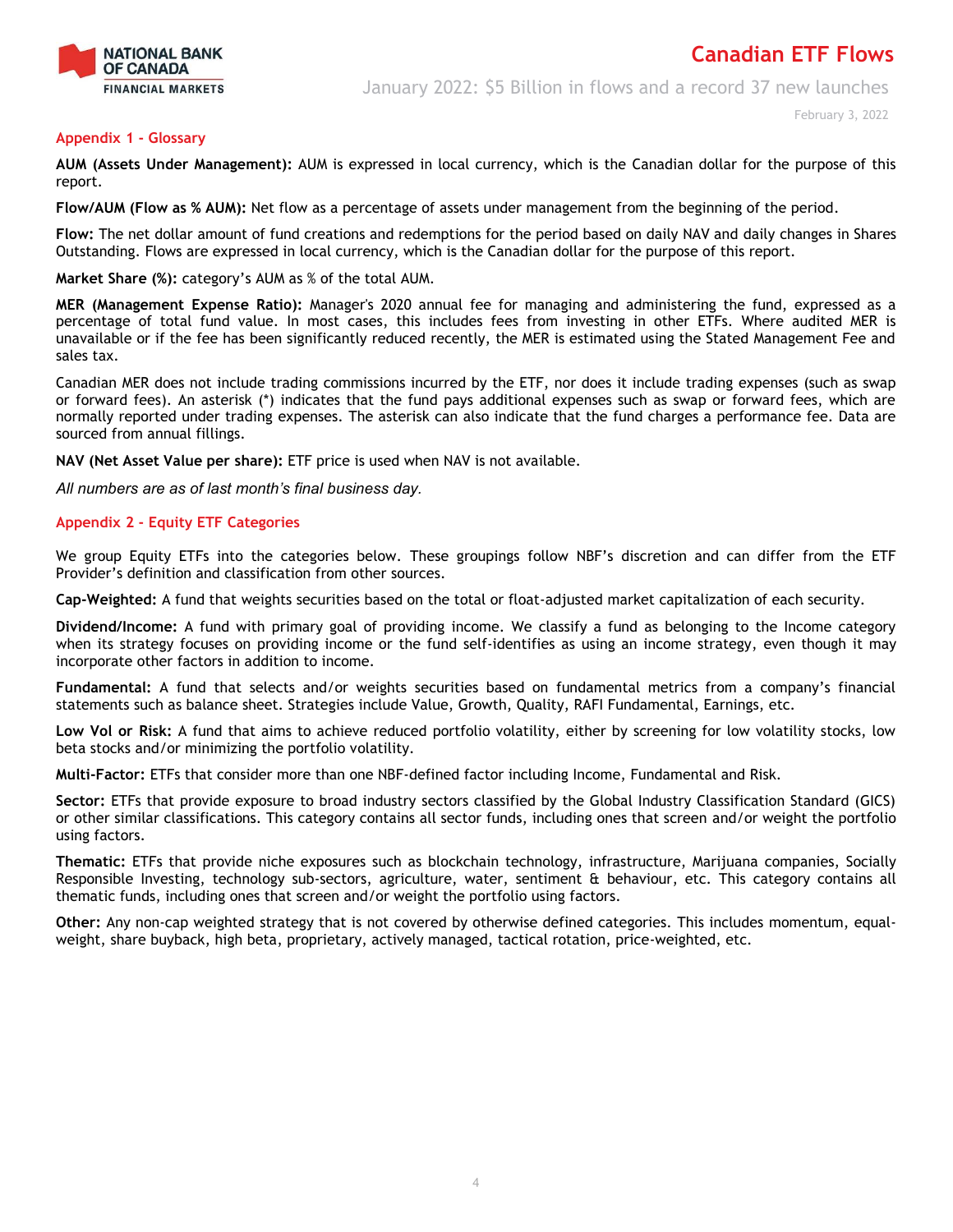

January 2022: \$5 Billion in flows and a record 37 new launches

#### **Appendix 1 - Glossary**

**AUM (Assets Under Management):** AUM is expressed in local currency, which is the Canadian dollar for the purpose of this report.

**Flow/AUM (Flow as % AUM):** Net flow as a percentage of assets under management from the beginning of the period.

**Flow:** The net dollar amount of fund creations and redemptions for the period based on daily NAV and daily changes in Shares Outstanding. Flows are expressed in local currency, which is the Canadian dollar for the purpose of this report.

**Market Share (%):** category's AUM as % of the total AUM.

**MER (Management Expense Ratio):** Manager's 2020 annual fee for managing and administering the fund, expressed as a percentage of total fund value. In most cases, this includes fees from investing in other ETFs. Where audited MER is unavailable or if the fee has been significantly reduced recently, the MER is estimated using the Stated Management Fee and sales tax.

Canadian MER does not include trading commissions incurred by the ETF, nor does it include trading expenses (such as swap or forward fees). An asterisk (\*) indicates that the fund pays additional expenses such as swap or forward fees, which are normally reported under trading expenses. The asterisk can also indicate that the fund charges a performance fee. Data are sourced from annual fillings.

**NAV (Net Asset Value per share):** ETF price is used when NAV is not available.

*All numbers are as of last month's final business day.* 

#### **Appendix 2 - Equity ETF Categories**

We group Equity ETFs into the categories below. These groupings follow NBF's discretion and can differ from the ETF Provider's definition and classification from other sources.

**Cap-Weighted:** A fund that weights securities based on the total or float-adjusted market capitalization of each security.

**Dividend/Income:** A fund with primary goal of providing income. We classify a fund as belonging to the Income category when its strategy focuses on providing income or the fund self-identifies as using an income strategy, even though it may incorporate other factors in addition to income.

**Fundamental:** A fund that selects and/or weights securities based on fundamental metrics from a company's financial statements such as balance sheet. Strategies include Value, Growth, Quality, RAFI Fundamental, Earnings, etc.

**Low Vol or Risk:** A fund that aims to achieve reduced portfolio volatility, either by screening for low volatility stocks, low beta stocks and/or minimizing the portfolio volatility.

**Multi-Factor:** ETFs that consider more than one NBF-defined factor including Income, Fundamental and Risk.

**Sector:** ETFs that provide exposure to broad industry sectors classified by the Global Industry Classification Standard (GICS) or other similar classifications. This category contains all sector funds, including ones that screen and/or weight the portfolio using factors.

**Thematic:** ETFs that provide niche exposures such as blockchain technology, infrastructure, Marijuana companies, Socially Responsible Investing, technology sub-sectors, agriculture, water, sentiment & behaviour, etc. This category contains all thematic funds, including ones that screen and/or weight the portfolio using factors.

**Other:** Any non-cap weighted strategy that is not covered by otherwise defined categories. This includes momentum, equalweight, share buyback, high beta, proprietary, actively managed, tactical rotation, price-weighted, etc.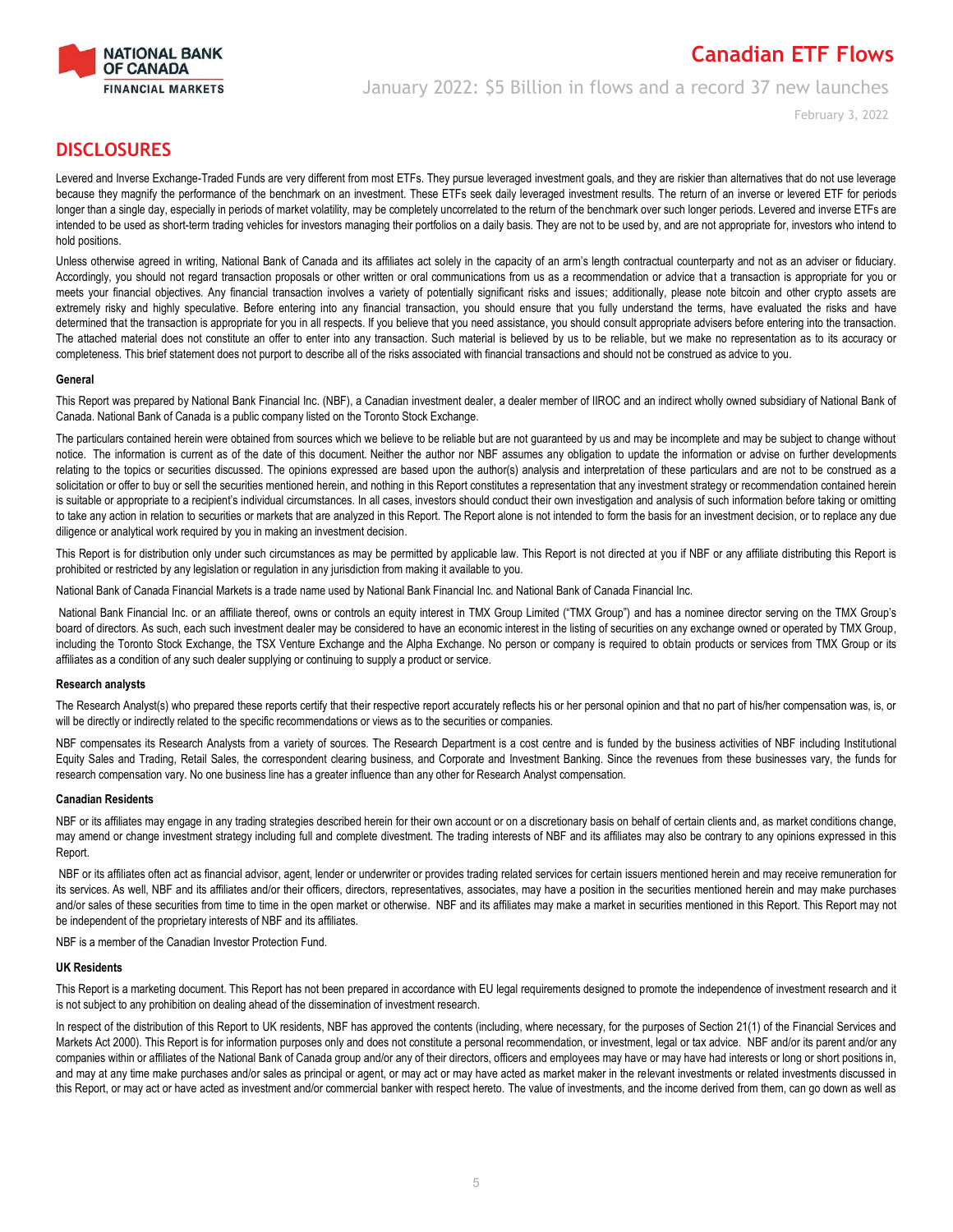

## **Canadian ETF Flows** January 2022: \$5 Billion in flows and a record 37 new launches

February 3, 2022

## **DISCLOSURES**

Levered and Inverse Exchange-Traded Funds are very different from most ETFs. They pursue leveraged investment goals, and they are riskier than alternatives that do not use leverage because they magnify the performance of the benchmark on an investment. These ETFs seek daily leveraged investment results. The return of an inverse or levered ETF for periods longer than a single day, especially in periods of market volatility, may be completely uncorrelated to the return of the benchmark over such longer periods. Levered and inverse ETFs are intended to be used as short-term trading vehicles for investors managing their portfolios on a daily basis. They are not to be used by, and are not appropriate for, investors who intend to hold positions.

Unless otherwise agreed in writing, National Bank of Canada and its affiliates act solely in the capacity of an arm's length contractual counterparty and not as an adviser or fiduciary. Accordingly, you should not regard transaction proposals or other written or oral communications from us as a recommendation or advice that a transaction is appropriate for you or meets your financial objectives. Any financial transaction involves a variety of potentially significant risks and issues; additionally, please note bitcoin and other crypto assets are extremely risky and highly speculative. Before entering into any financial transaction, you should ensure that you fully understand the terms, have evaluated the risks and have determined that the transaction is appropriate for you in all respects. If you believe that you need assistance, you should consult appropriate advisers before entering into the transaction. The attached material does not constitute an offer to enter into any transaction. Such material is believed by us to be reliable, but we make no representation as to its accuracy or completeness. This brief statement does not purport to describe all of the risks associated with financial transactions and should not be construed as advice to you.

#### **General**

This Report was prepared by National Bank Financial Inc. (NBF), a Canadian investment dealer, a dealer member of IIROC and an indirect wholly owned subsidiary of National Bank of Canada. National Bank of Canada is a public company listed on the Toronto Stock Exchange.

The particulars contained herein were obtained from sources which we believe to be reliable but are not guaranteed by us and may be incomplete and may be subject to change without notice. The information is current as of the date of this document. Neither the author nor NBF assumes any obligation to update the information or advise on further developments relating to the topics or securities discussed. The opinions expressed are based upon the author(s) analysis and interpretation of these particulars and are not to be construed as a solicitation or offer to buy or sell the securities mentioned herein, and nothing in this Report constitutes a representation that any investment strategy or recommendation contained herein is suitable or appropriate to a recipient's individual circumstances. In all cases, investors should conduct their own investigation and analysis of such information before taking or omitting to take any action in relation to securities or markets that are analyzed in this Report. The Report alone is not intended to form the basis for an investment decision, or to replace any due diligence or analytical work required by you in making an investment decision.

This Report is for distribution only under such circumstances as may be permitted by applicable law. This Report is not directed at you if NBF or any affiliate distributing this Report is prohibited or restricted by any legislation or regulation in any jurisdiction from making it available to you.

National Bank of Canada Financial Markets is a trade name used by National Bank Financial Inc. and National Bank of Canada Financial Inc.

National Bank Financial Inc. or an affiliate thereof, owns or controls an equity interest in TMX Group Limited ("TMX Group") and has a nominee director serving on the TMX Group's board of directors. As such, each such investment dealer may be considered to have an economic interest in the listing of securities on any exchange owned or operated by TMX Group, including the Toronto Stock Exchange, the TSX Venture Exchange and the Alpha Exchange. No person or company is required to obtain products or services from TMX Group or its affiliates as a condition of any such dealer supplying or continuing to supply a product or service.

#### **Research analysts**

The Research Analyst(s) who prepared these reports certify that their respective report accurately reflects his or her personal opinion and that no part of his/her compensation was, is, or will be directly or indirectly related to the specific recommendations or views as to the securities or companies.

NBF compensates its Research Analysts from a variety of sources. The Research Department is a cost centre and is funded by the business activities of NBF including Institutional Equity Sales and Trading, Retail Sales, the correspondent clearing business, and Corporate and Investment Banking. Since the revenues from these businesses vary, the funds for research compensation vary. No one business line has a greater influence than any other for Research Analyst compensation.

#### **Canadian Residents**

NBF or its affiliates may engage in any trading strategies described herein for their own account or on a discretionary basis on behalf of certain clients and, as market conditions change, may amend or change investment strategy including full and complete divestment. The trading interests of NBF and its affiliates may also be contrary to any opinions expressed in this Report.

NBF or its affiliates often act as financial advisor, agent, lender or underwriter or provides trading related services for certain issuers mentioned herein and may receive remuneration for its services. As well, NBF and its affiliates and/or their officers, directors, representatives, associates, may have a position in the securities mentioned herein and may make purchases and/or sales of these securities from time to time in the open market or otherwise. NBF and its affiliates may make a market in securities mentioned in this Report. This Report may not be independent of the proprietary interests of NBF and its affiliates.

NBF is a member of the Canadian Investor Protection Fund.

#### **UK Residents**

This Report is a marketing document. This Report has not been prepared in accordance with EU legal requirements designed to promote the independence of investment research and it is not subject to any prohibition on dealing ahead of the dissemination of investment research.

In respect of the distribution of this Report to UK residents, NBF has approved the contents (including, where necessary, for the purposes of Section 21(1) of the Financial Services and Markets Act 2000). This Report is for information purposes only and does not constitute a personal recommendation, or investment, legal or tax advice. NBF and/or its parent and/or any companies within or affiliates of the National Bank of Canada group and/or any of their directors, officers and employees may have or may have had interests or long or short positions in, and may at any time make purchases and/or sales as principal or agent, or may act or may have acted as market maker in the relevant investments or related investments discussed in this Report, or may act or have acted as investment and/or commercial banker with respect hereto. The value of investments, and the income derived from them, can go down as well as